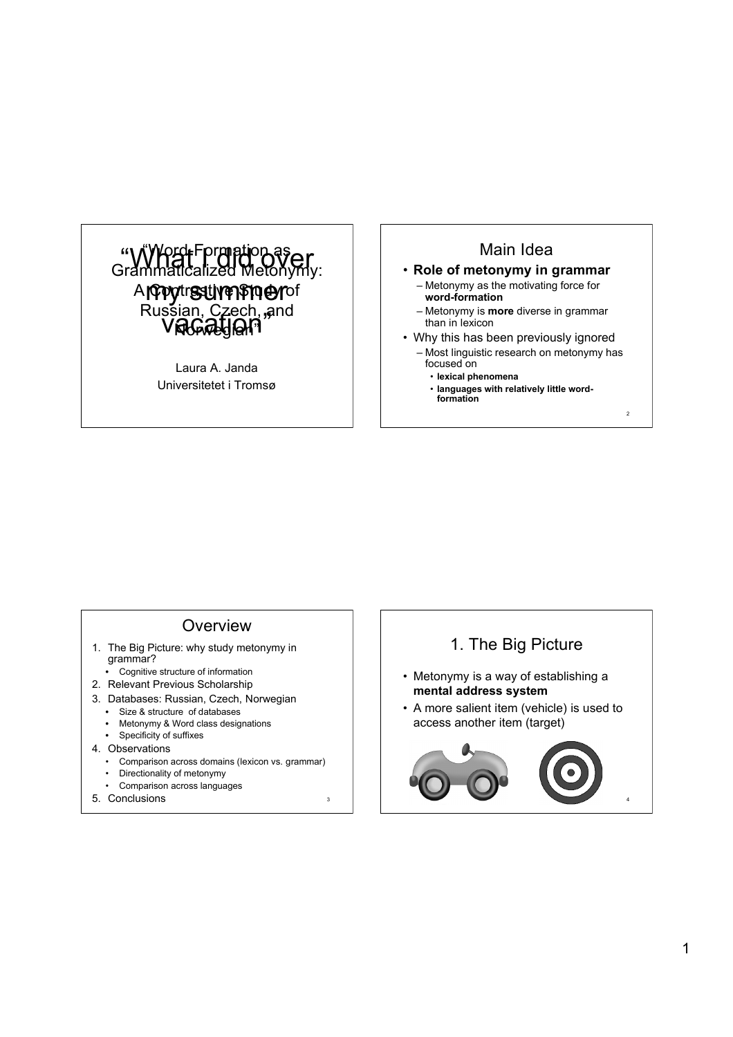

Laura A. Janda Universitetet i Tromsø

## Main Idea

#### • **Role of metonymy in grammar**

- Metonymy as the motivating force for **word-formation**
- Metonymy is **more** diverse in grammar than in lexicon
- Why this has been previously ignored
- Most linguistic research on metonymy has focused on

 $\overline{2}$ 

- **lexical phenomena**
- **languages with relatively little word-formation**

#### **Overview**

- 1. The Big Picture: why study metonymy in grammar?
	- Cognitive structure of information
- 2. Relevant Previous Scholarship
- 3. Databases: Russian, Czech, Norwegian
	- Size & structure of databases
	- Metonymy & Word class designations
	- Specificity of suffixes
- 4. Observations
	- Comparison across domains (lexicon vs. grammar)

3

- Directionality of metonymy • Comparison across languages
- 
- 5. Conclusions <sup>4</sup>

#### 1. The Big Picture

- Metonymy is a way of establishing a **mental address system**
- A more salient item (vehicle) is used to access another item (target)

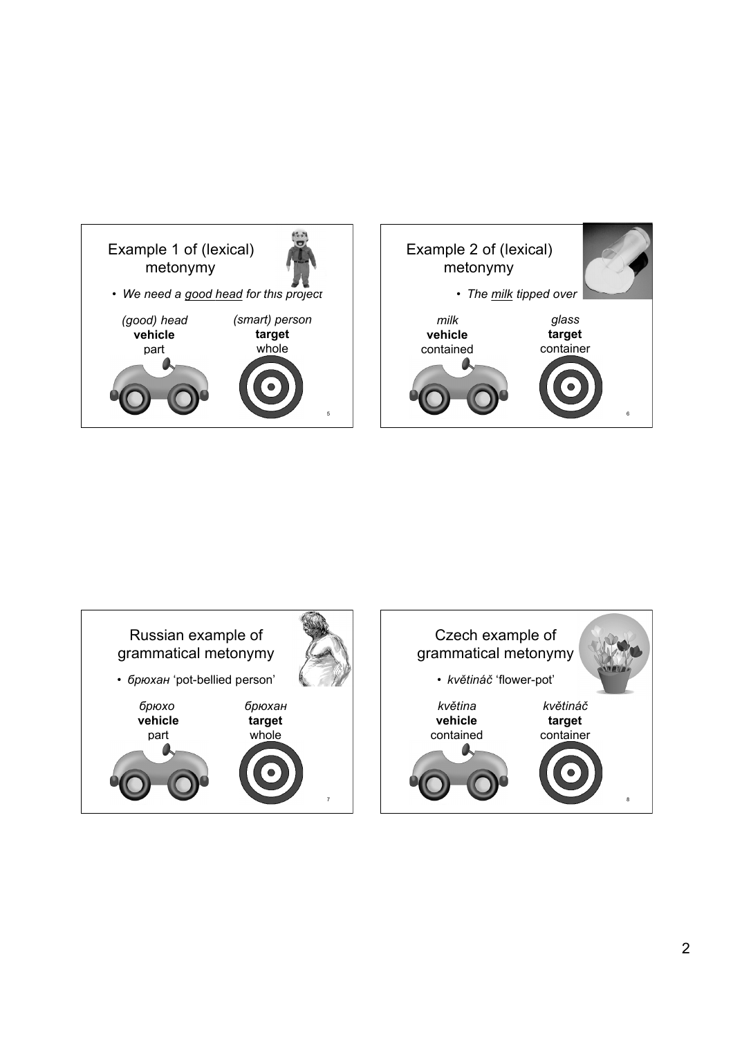

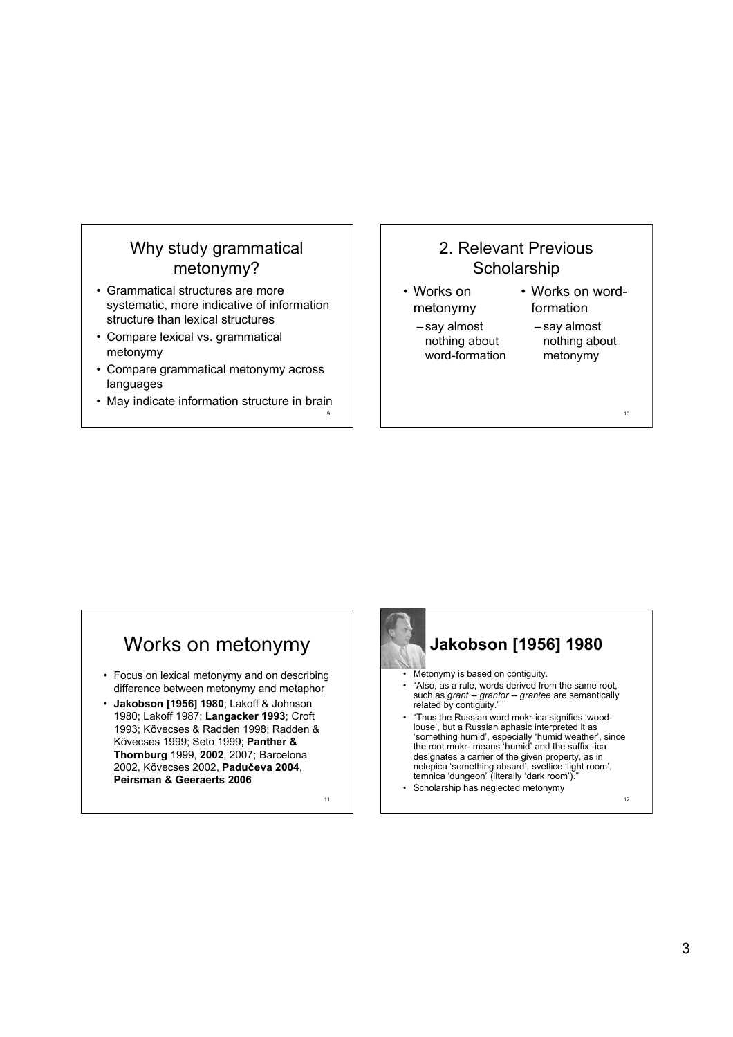## Why study grammatical metonymy?

- Grammatical structures are more systematic, more indicative of information structure than lexical structures
- Compare lexical vs. grammatical metonymy
- Compare grammatical metonymy across languages
- May indicate information structure in brain

9

11

## 2. Relevant Previous **Scholarship**

- Works on metonymy
	- say almost nothing about word-formation
- Works on wordformation
	- say almost nothing about metonymy

10

# Works on metonymy

- Focus on lexical metonymy and on describing difference between metonymy and metaphor
- **Jakobson [1956] 1980**; Lakoff & Johnson 1980; Lakoff 1987; **Langacker 1993**; Croft 1993; Kövecses & Radden 1998; Radden & Kövecses 1999; Seto 1999; **Panther & Thornburg** 1999, **2002**, 2007; Barcelona 2002, Kövecses 2002, **Padučeva 2004**, **Peirsman & Geeraerts 2006**

**Jakobson [1956] 1980** • Metonymy is based on contiguity. • "Also, as a rule, words derived from the same root, such as *grant* -- *grantor* -- *grantee* are semantically related by contiguity."

- "Thus the Russian word mokr-ica signifies 'woodlouse', but a Russian aphasic interpreted it as 'something humid', especially 'humid weather', since the root mokr- means 'humid' and the suffix -ica designates a carrier of the given property, as in nelepica 'something absurd', svetlice 'light room', temnica 'dungeon' (literally 'dark room').
- Scholarship has neglected metonymy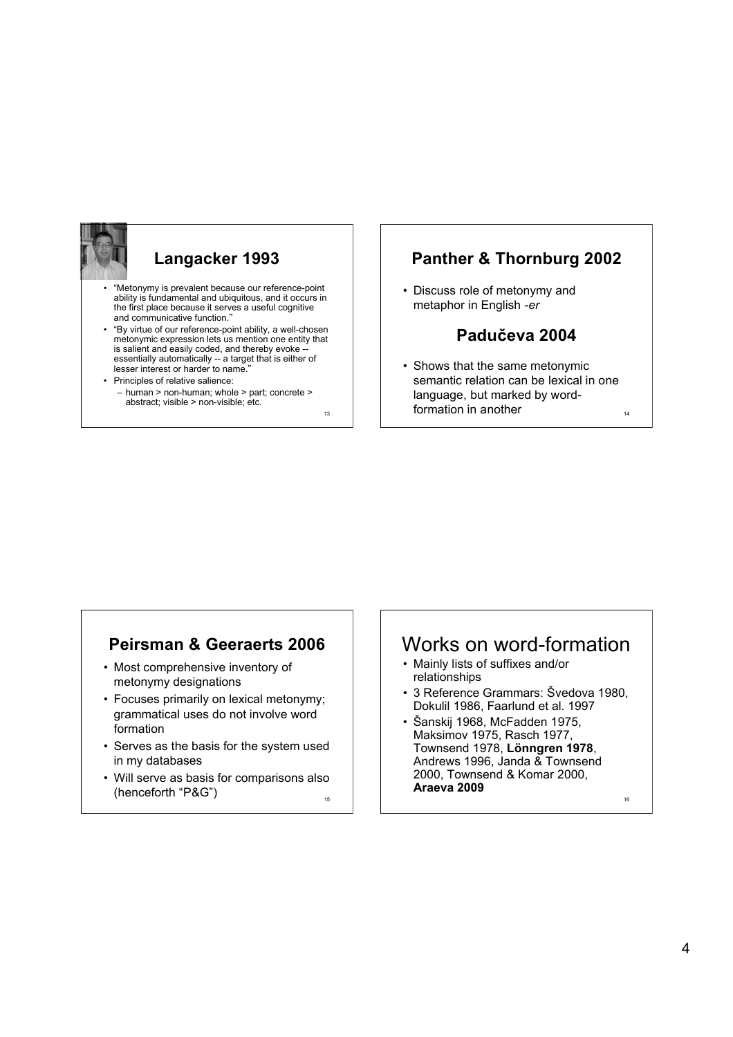

# **Langacker 1993**

- "Metonymy is prevalent because our reference-point ability is fundamental and ubiquitous, and it occurs in the first place because it serves a useful cognitive and communicative function."
- "By virtue of our reference-point ability, a well-chosen metonymic expression lets us mention one entity that is salient and easily coded, and thereby evoke essentially automatically -- a target that is either of lesser interest or harder to name."
- Principles of relative salience: – human > non-human; whole > part; concrete > abstract; visible > non-visible; etc.

13

#### **Panther & Thornburg 2002**

• Discuss role of metonymy and metaphor in English *-er*

#### **Padučeva 2004**

• Shows that the same metonymic semantic relation can be lexical in one language, but marked by wordformation in another

14

#### **Peirsman & Geeraerts 2006**

- Most comprehensive inventory of metonymy designations
- Focuses primarily on lexical metonymy; grammatical uses do not involve word formation
- Serves as the basis for the system used in my databases
- 15 • Will serve as basis for comparisons also (henceforth "P&G")  $\frac{16}{15}$  | **Araeva 2009**

### Works on word-formation

- Mainly lists of suffixes and/or relationships
- 3 Reference Grammars: Švedova 1980, Dokulil 1986, Faarlund et al. 1997
- Šanskij 1968, McFadden 1975, Maksimov 1975, Rasch 1977, Townsend 1978, **Lönngren 1978**, Andrews 1996, Janda & Townsend 2000, Townsend & Komar 2000, **Araeva 2009**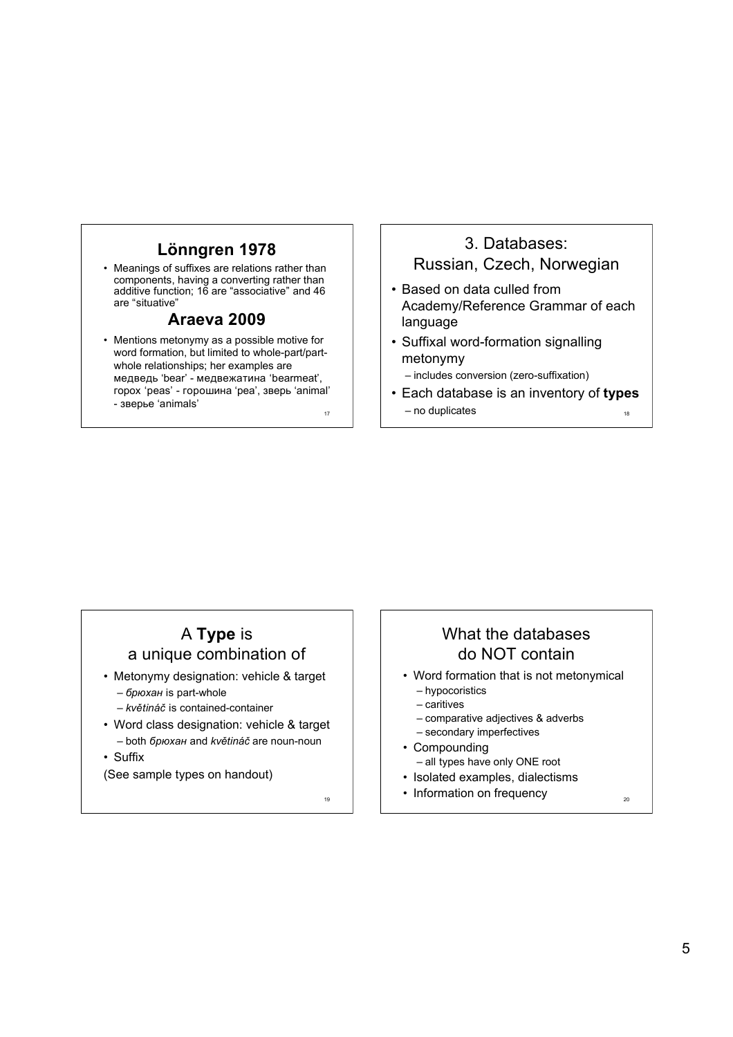#### **Lönngren 1978**

• Meanings of suffixes are relations rather than components, having a converting rather than additive function; 16 are "associative" and 46 are "situative"

#### **Araeva 2009**

17 • Mentions metonymy as a possible motive for word formation, but limited to whole-part/partwhole relationships; her examples are медведь 'bear' - медвежатина 'bearmeat', горох 'peas' - горошина 'pea', зверь 'animal' - зверье 'animals'

## 3. Databases: Russian, Czech, Norwegian

- Based on data culled from Academy/Reference Grammar of each language
- Suffixal word-formation signalling metonymy
	- includes conversion (zero-suffixation)
- 18 • Each database is an inventory of **types** – no duplicates

## A **Type** is a unique combination of

- Metonymy designation: vehicle & target
	- *брюхан* is part-whole
	- *květináč* is contained-container
- Word class designation: vehicle & target – both *брюхан* and *květináč* are noun-noun
- Suffix

(See sample types on handout)

19

## What the databases do NOT contain

- Word formation that is not metonymical
	- hypocoristics – caritives
	- comparative adjectives & adverbs
	- secondary imperfectives
- Compounding
	- all types have only ONE root
- Isolated examples, dialectisms
- Information on frequency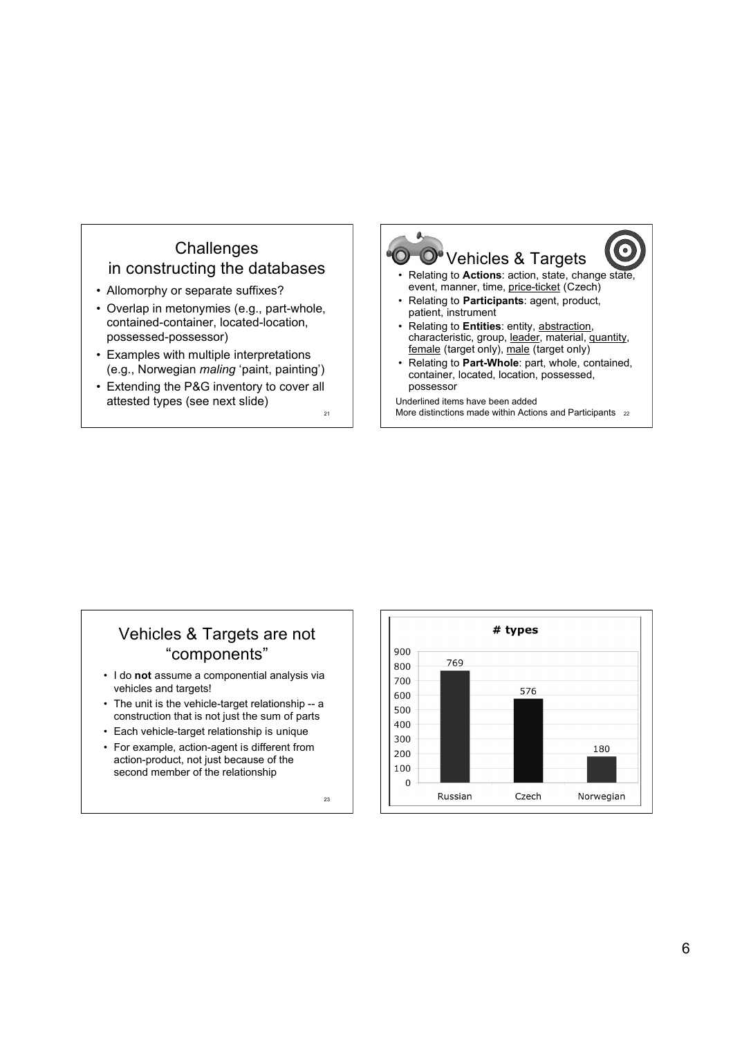#### **Challenges** in constructing the databases

- Allomorphy or separate suffixes?
- Overlap in metonymies (e.g., part-whole, contained-container, located-location, possessed-possessor)
- Examples with multiple interpretations (e.g., Norwegian *maling* 'paint, painting')
- Extending the P&G inventory to cover all attested types (see next slide)

 $21$ 



## Vehicles & Targets are not "components"

- I do **not** assume a componential analysis via vehicles and targets!
- The unit is the vehicle-target relationship -- a construction that is not just the sum of parts
- Each vehicle-target relationship is unique
- For example, action-agent is different from action-product, not just because of the second member of the relationship

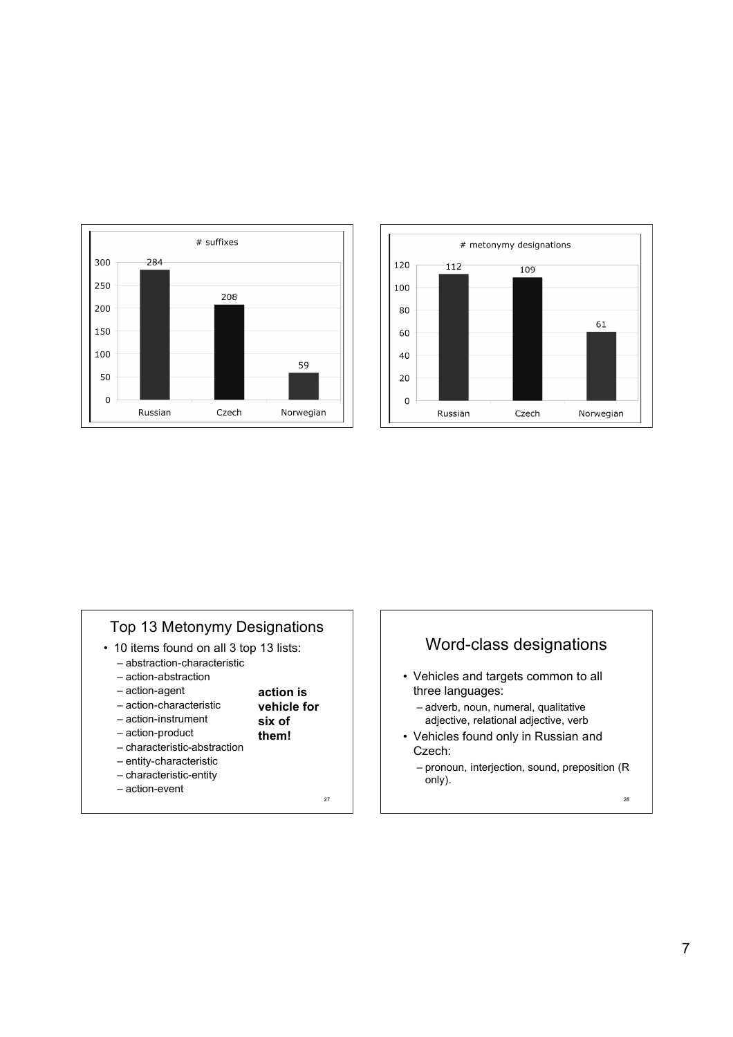



#### Top 13 Metonymy Designations

- 10 items found on all 3 top 13 lists:
	- abstraction-characteristic
	- action-abstraction
	- action-agent

– action-product

- action-characteristic – action-instrument
	- **vehicle for six of**
		- **them!**

**action is**

- characteristic-abstraction
- entity-characteristic
- characteristic-entity
- action-event

27

#### Word-class designations

- Vehicles and targets common to all three languages:
	- adverb, noun, numeral, qualitative adjective, relational adjective, verb
- Vehicles found only in Russian and Czech:
	- pronoun, interjection, sound, preposition (R only).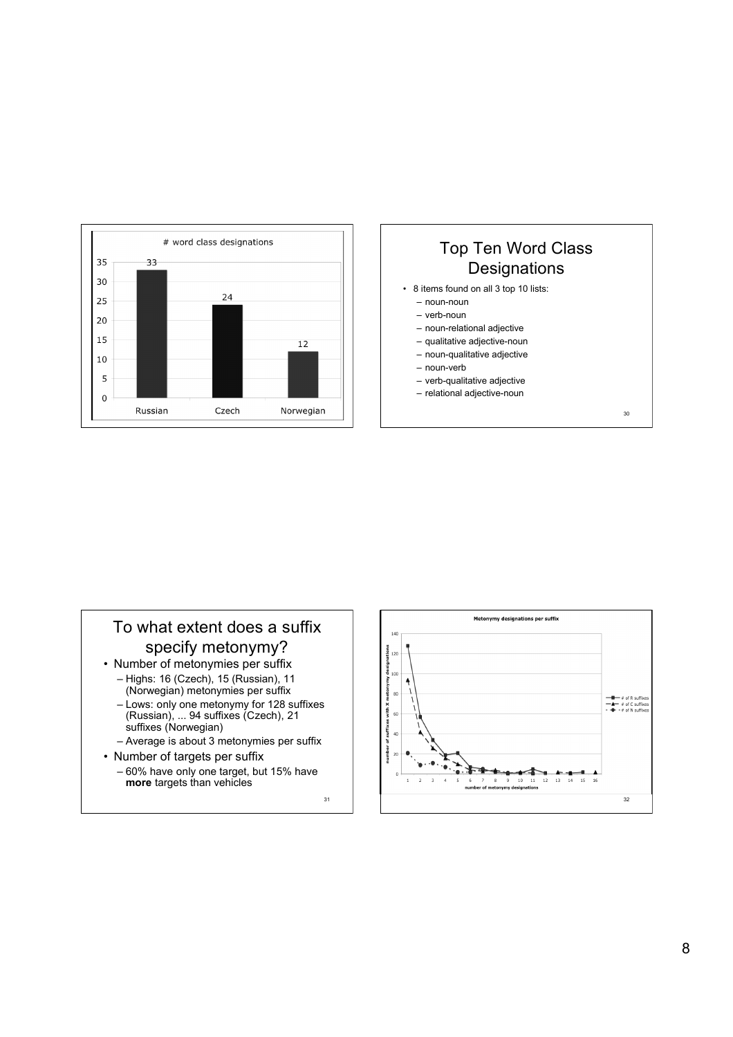



## To what extent does a suffix specify metonymy?

- Number of metonymies per suffix – Highs: 16 (Czech), 15 (Russian), 11 (Norwegian) metonymies per suffix
	- Lows: only one metonymy for 128 suffixes (Russian), ... 94 suffixes (Czech), 21 suffixes (Norwegian)
	- Average is about 3 metonymies per suffix
- Number of targets per suffix – 60% have only one target, but 15% have **more** targets than vehicles

31

Metonymy designations per suffix  $14($  $\frac{8}{5}$  120 of suffixes with X metonymy desig<br>승<br>승 응 영  $\begin{array}{c}\n\begin{array}{c}\n\begin{array}{c}\n\begin{array}{c}\n\hline\n\end{array} & \text{if } k \text{ suff} \\
\hline\n\end{array} \\
\begin{array}{c}\n\hline\n\end{array} & \text{if } k \text{ suff} \\
\hline\n\end{array} \\
\begin{array}{c}\n\hline\n\end{array} & \text{if } k \text{ suff} \\
\begin{array}{c}\n\hline\n\end{array} & \text{if } k \text{ suff} \\
\hline\n\end{array} \end{array}$  $\frac{1}{10}$  $\overline{10}$  $\overline{12}$  $13$  $15$  $\overline{R}$ 32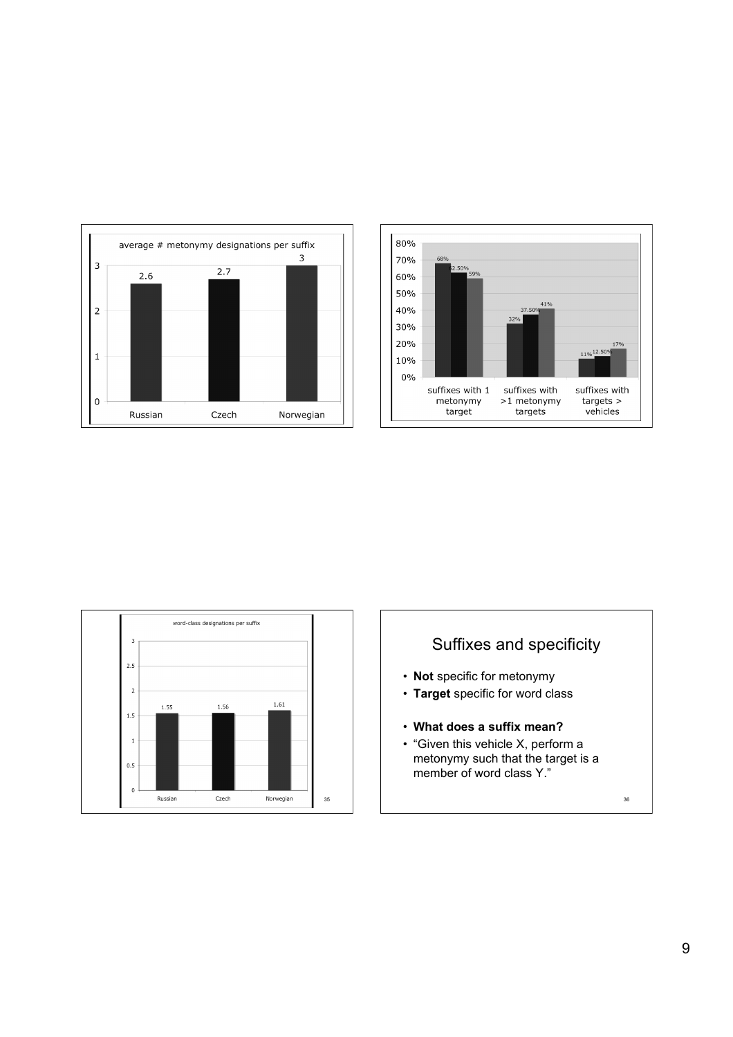





# Suffixes and specificity

- **Not** specific for metonymy
- **Target** specific for word class
- **What does a suffix mean?**
- "Given this vehicle X, perform a metonymy such that the target is a member of word class Y."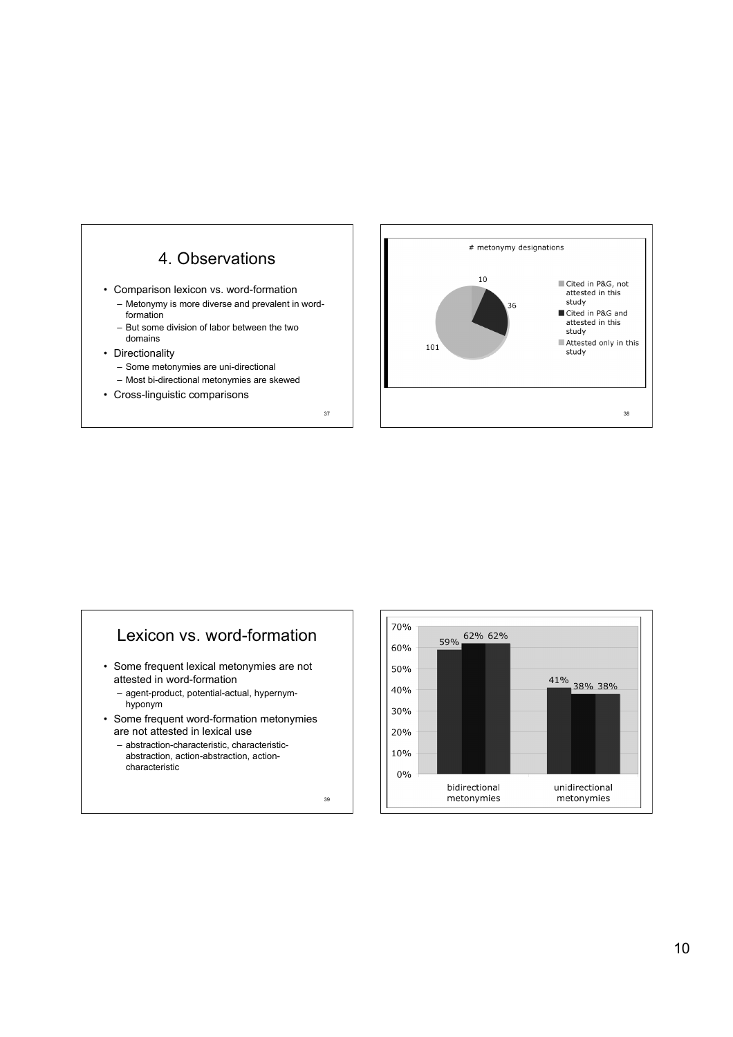

- Comparison lexicon vs. word-formation
	- Metonymy is more diverse and prevalent in wordformation
	- But some division of labor between the two domains
- Directionality
	- Some metonymies are uni-directional
	- Most bi-directional metonymies are skewed
- Cross-linguistic comparisons



#### Lexicon vs. word-formation

- Some frequent lexical metonymies are not attested in word-formation
	- agent-product, potential-actual, hypernymhyponym
- Some frequent word-formation metonymies are not attested in lexical use
	- abstraction-characteristic, characteristicabstraction, action-abstraction, actioncharacteristic

39

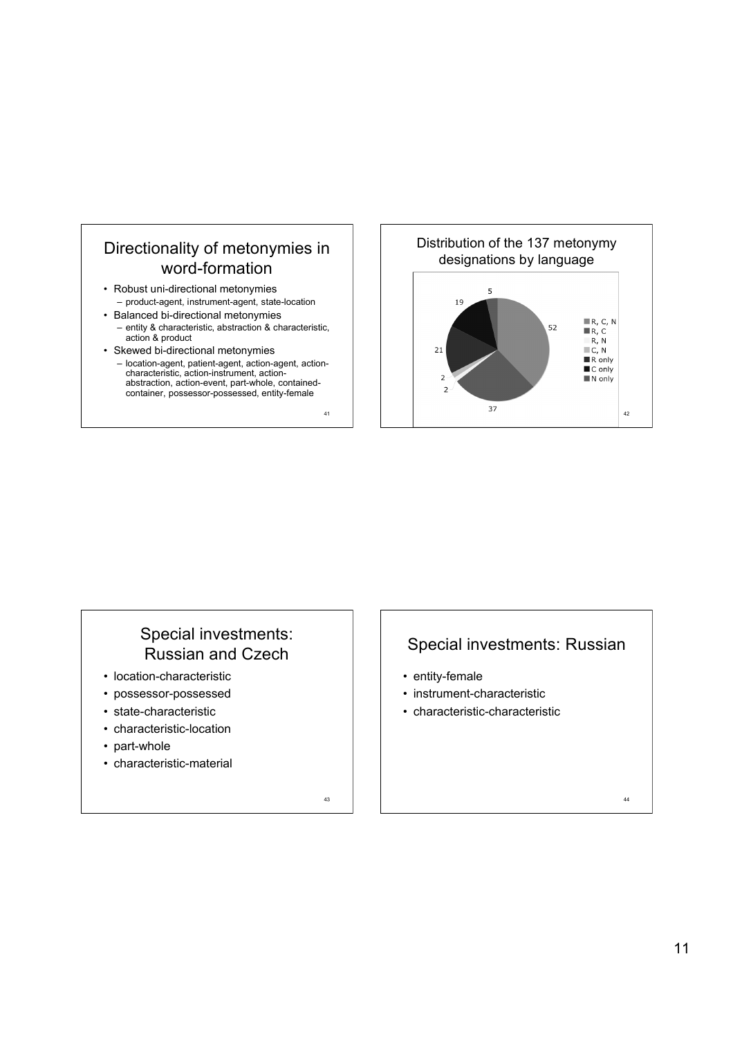

- Robust uni-directional metonymies – product-agent, instrument-agent, state-location
- Balanced bi-directional metonymies – entity & characteristic, abstraction & characteristic,
- action & product • Skewed bi-directional metonymies – location-agent, patient-agent, action-agent, actioncharacteristic, action-instrument, actionabstraction, action-event, part-whole, containedcontainer, possessor-possessed, entity-female



## Special investments: Russian and Czech

- location-characteristic
- possessor-possessed
- state-characteristic
- characteristic-location
- part-whole
- characteristic-material

43

41

#### Special investments: Russian

- entity-female
- instrument-characteristic
- characteristic-characteristic